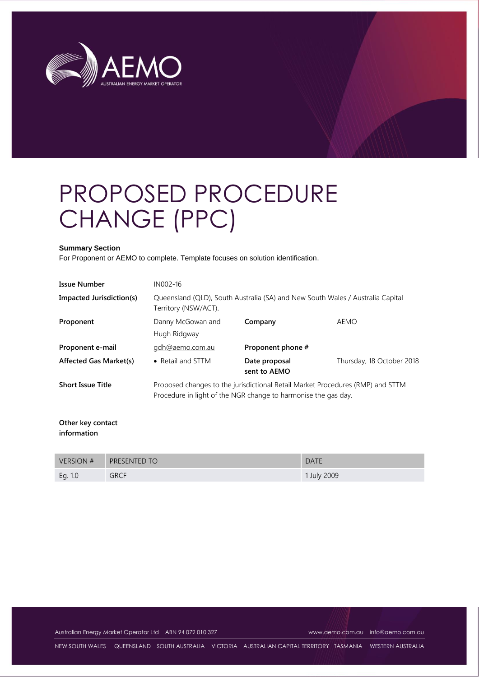

# PROPOSED PROCEDURE CHANGE (PPC)

#### **Summary Section**

For Proponent or AEMO to complete. Template focuses on solution identification.

| <b>Issue Number</b>           | IN002-16                                                                                                                                         |                               |                           |
|-------------------------------|--------------------------------------------------------------------------------------------------------------------------------------------------|-------------------------------|---------------------------|
| Impacted Jurisdiction(s)      | Queensland (QLD), South Australia (SA) and New South Wales / Australia Capital<br>Territory (NSW/ACT).                                           |                               |                           |
| Proponent                     | Danny McGowan and<br>Hugh Ridgway                                                                                                                | Company                       | <b>AEMO</b>               |
| Proponent e-mail              | gdh@aemo.com.au                                                                                                                                  | Proponent phone #             |                           |
| <b>Affected Gas Market(s)</b> | • Retail and STTM                                                                                                                                | Date proposal<br>sent to AEMO | Thursday, 18 October 2018 |
| <b>Short Issue Title</b>      | Proposed changes to the jurisdictional Retail Market Procedures (RMP) and STTM<br>Procedure in light of the NGR change to harmonise the gas day. |                               |                           |

**Other key contact information** 

| VERSION # | PRESENTED TO | <b>DATE</b> |
|-----------|--------------|-------------|
| Eg. 1.0   | <b>GRCF</b>  | 1 July 2009 |

Australian Energy Market Operator Ltd ABN 94 072 010 327 [www.aemo.com.au](http://www.aemo.com.au/) [info@aemo.com.au](mailto:info@aemo.com.au)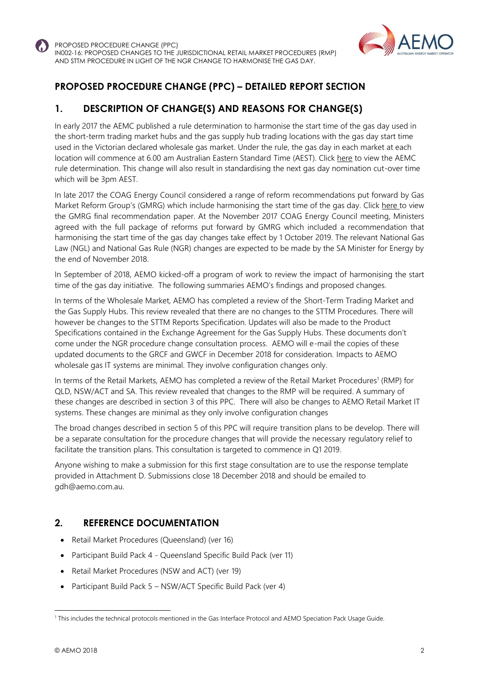



# **PROPOSED PROCEDURE CHANGE (PPC) – DETAILED REPORT SECTION**

# **1. DESCRIPTION OF CHANGE(S) AND REASONS FOR CHANGE(S)**

In early 2017 the AEMC published a rule determination to harmonise the start time of the gas day used in the short-term trading market hubs and the gas supply hub trading locations with the gas day start time used in the Victorian declared wholesale gas market. Under the rule, the gas day in each market at each location will commence at 6.00 am Australian Eastern Standard Time (AEST). Click [here](https://www.aemc.gov.au/rule-changes/gas-day-harmonisation) to view the AEMC rule determination. This change will also result in standardising the next gas day nomination cut-over time which will be 3pm AEST.

In late 2017 the COAG Energy Council considered a range of reform recommendations put forward by Gas Market Reform Group's (GMRG) which include harmonising the start time of the gas day. Click [here](http://gmrg.coagenergycouncil.gov.au/sites/prod.gmrg/files/publications/documents/Standardisation%2C%20capacity%20trading%20platform%20and%20reporting%20framework%20for%20secondary%20trades%20-%20Final%20Recommendations%20November%202017_0.pdf) to view the GMRG final recommendation paper. At the November 2017 COAG Energy Council meeting, Ministers agreed with the full package of reforms put forward by GMRG which included a recommendation that harmonising the start time of the gas day changes take effect by 1 October 2019. The relevant National Gas Law (NGL) and National Gas Rule (NGR) changes are expected to be made by the SA Minister for Energy by the end of November 2018.

In September of 2018, AEMO kicked-off a program of work to review the impact of harmonising the start time of the gas day initiative. The following summaries AEMO's findings and proposed changes.

In terms of the Wholesale Market, AEMO has completed a review of the Short-Term Trading Market and the Gas Supply Hubs. This review revealed that there are no changes to the STTM Procedures. There will however be changes to the STTM Reports Specification. Updates will also be made to the Product Specifications contained in the Exchange Agreement for the Gas Supply Hubs. These documents don't come under the NGR procedure change consultation process. AEMO will e-mail the copies of these updated documents to the GRCF and GWCF in December 2018 for consideration. Impacts to AEMO wholesale gas IT systems are minimal. They involve configuration changes only.

In terms of the Retail Markets, AEMO has completed a review of the Retail Market Procedures<sup>1</sup> (RMP) for QLD, NSW/ACT and SA. This review revealed that changes to the RMP will be required. A summary of these changes are described in section 3 of this PPC. There will also be changes to AEMO Retail Market IT systems. These changes are minimal as they only involve configuration changes

The broad changes described in section 5 of this PPC will require transition plans to be develop. There will be a separate consultation for the procedure changes that will provide the necessary regulatory relief to facilitate the transition plans. This consultation is targeted to commence in Q1 2019.

Anyone wishing to make a submission for this first stage consultation are to use the response template provided in Attachment D. Submissions close 18 December 2018 and should be emailed to gdh@aemo.com.au.

#### **2. REFERENCE DOCUMENTATION**

- Retail Market Procedures (Queensland) (ver 16)
- Participant Build Pack 4 Queensland Specific Build Pack (ver 11)
- Retail Market Procedures (NSW and ACT) (ver 19)
- Participant Build Pack 5 NSW/ACT Specific Build Pack (ver 4)

l

<sup>1</sup> This includes the technical protocols mentioned in the Gas Interface Protocol and AEMO Speciation Pack Usage Guide.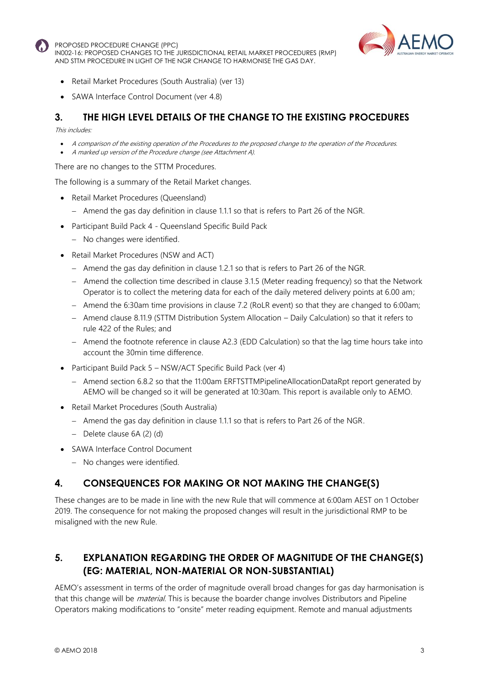

- Retail Market Procedures (South Australia) (ver 13)
- SAWA Interface Control Document (ver 4.8)

## **3. THE HIGH LEVEL DETAILS OF THE CHANGE TO THE EXISTING PROCEDURES**

#### This includes:

- A comparison of the existing operation of the Procedures to the proposed change to the operation of the Procedures.
- A marked up version of the Procedure change (see Attachment A).

There are no changes to the STTM Procedures.

The following is a summary of the Retail Market changes.

- Retail Market Procedures (Queensland)
	- $-$  Amend the gas day definition in clause 1.1.1 so that is refers to Part 26 of the NGR.
- Participant Build Pack 4 Queensland Specific Build Pack
	- No changes were identified.
- Retail Market Procedures (NSW and ACT)
	- Amend the gas day definition in clause 1.2.1 so that is refers to Part 26 of the NGR.
	- Amend the collection time described in clause 3.1.5 (Meter reading frequency) so that the Network Operator is to collect the metering data for each of the daily metered delivery points at 6.00 am;
	- Amend the 6:30am time provisions in clause 7.2 (RoLR event) so that they are changed to 6:00am;
	- Amend clause 8.11.9 (STTM Distribution System Allocation Daily Calculation) so that it refers to rule 422 of the Rules; and
	- Amend the footnote reference in clause A2.3 (EDD Calculation) so that the lag time hours take into account the 30min time difference.
- Participant Build Pack 5 NSW/ACT Specific Build Pack (ver 4)
	- Amend section 6.8.2 so that the 11:00am ERFTSTTMPipelineAllocationDataRpt report generated by AEMO will be changed so it will be generated at 10:30am. This report is available only to AEMO.
- Retail Market Procedures (South Australia)
	- Amend the gas day definition in clause 1.1.1 so that is refers to Part 26 of the NGR.
	- Delete clause 6A (2) (d)
- SAWA Interface Control Document
	- No changes were identified.

#### **4. CONSEQUENCES FOR MAKING OR NOT MAKING THE CHANGE(S)**

These changes are to be made in line with the new Rule that will commence at 6:00am AEST on 1 October 2019. The consequence for not making the proposed changes will result in the jurisdictional RMP to be misaligned with the new Rule.

# **5. EXPLANATION REGARDING THE ORDER OF MAGNITUDE OF THE CHANGE(S) (EG: MATERIAL, NON-MATERIAL OR NON-SUBSTANTIAL)**

AEMO's assessment in terms of the order of magnitude overall broad changes for gas day harmonisation is that this change will be *material*. This is because the boarder change involves Distributors and Pipeline Operators making modifications to "onsite" meter reading equipment. Remote and manual adjustments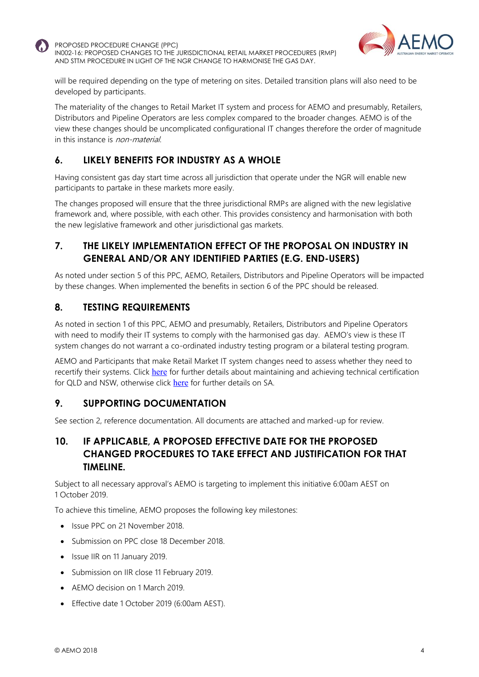



will be required depending on the type of metering on sites. Detailed transition plans will also need to be developed by participants.

The materiality of the changes to Retail Market IT system and process for AEMO and presumably, Retailers, Distributors and Pipeline Operators are less complex compared to the broader changes. AEMO is of the view these changes should be uncomplicated configurational IT changes therefore the order of magnitude in this instance is non-material.

# **6. LIKELY BENEFITS FOR INDUSTRY AS A WHOLE**

Having consistent gas day start time across all jurisdiction that operate under the NGR will enable new participants to partake in these markets more easily.

The changes proposed will ensure that the three jurisdictional RMPs are aligned with the new legislative framework and, where possible, with each other. This provides consistency and harmonisation with both the new legislative framework and other jurisdictional gas markets.

### **7. THE LIKELY IMPLEMENTATION EFFECT OF THE PROPOSAL ON INDUSTRY IN GENERAL AND/OR ANY IDENTIFIED PARTIES (E.G. END-USERS)**

As noted under section 5 of this PPC, AEMO, Retailers, Distributors and Pipeline Operators will be impacted by these changes. When implemented the benefits in section 6 of the PPC should be released.

#### **8. TESTING REQUIREMENTS**

As noted in section 1 of this PPC, AEMO and presumably, Retailers, Distributors and Pipeline Operators with need to modify their IT systems to comply with the harmonised gas day. AEMO's view is these IT system changes do not warrant a co-ordinated industry testing program or a bilateral testing program.

AEMO and Participants that make Retail Market IT system changes need to assess whether they need to recertify their systems. Click [here](http://www.aemo.com.au/-/media/Files/Gas/IT_Systems/2017/Gas-FRC-B2B-Connectivity-Testing-and-Sys-Certification-ver18-Clean.pdf) for further details about maintaining and achieving technical certification for QLD and NSW, otherwise click [here](http://www.aemo.com.au/-/media/Files/Gas/Retail_Markets_and_Metering/Market-Procedures/SA_and_WA/2017/Connectivity-Testing-and-Technical-Certification-v36-clean.pdf) for further details on SA.

#### **9. SUPPORTING DOCUMENTATION**

See section 2, reference documentation. All documents are attached and marked-up for review.

#### **10. IF APPLICABLE, A PROPOSED EFFECTIVE DATE FOR THE PROPOSED CHANGED PROCEDURES TO TAKE EFFECT AND JUSTIFICATION FOR THAT TIMELINE.**

Subject to all necessary approval's AEMO is targeting to implement this initiative 6:00am AEST on 1 October 2019.

To achieve this timeline, AEMO proposes the following key milestones:

- Issue PPC on 21 November 2018.
- Submission on PPC close 18 December 2018.
- Issue IIR on 11 January 2019.
- Submission on IIR close 11 February 2019.
- AEMO decision on 1 March 2019.
- Effective date 1 October 2019 (6:00am AEST).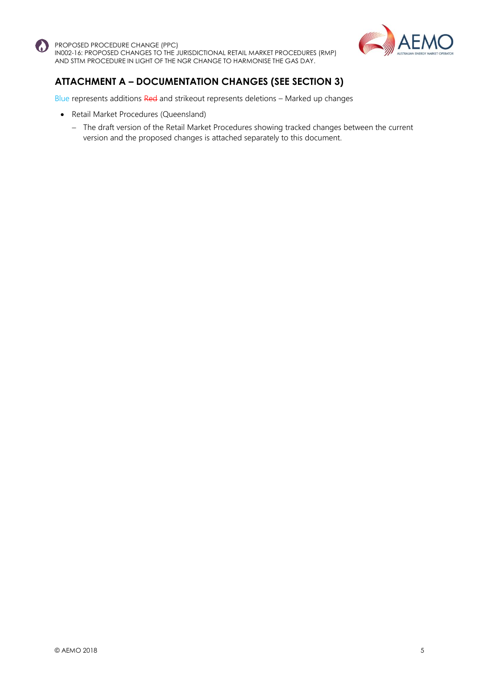



# **ATTACHMENT A – DOCUMENTATION CHANGES (SEE SECTION 3)**

Blue represents additions Red and strikeout represents deletions - Marked up changes

- Retail Market Procedures (Queensland)
	- The draft version of the Retail Market Procedures showing tracked changes between the current version and the proposed changes is attached separately to this document.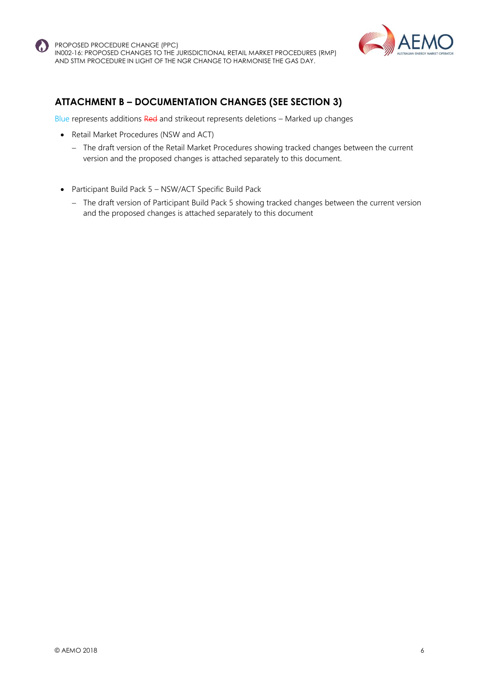



# **ATTACHMENT B – DOCUMENTATION CHANGES (SEE SECTION 3)**

Blue represents additions Red and strikeout represents deletions – Marked up changes

- Retail Market Procedures (NSW and ACT)
	- The draft version of the Retail Market Procedures showing tracked changes between the current version and the proposed changes is attached separately to this document.
- Participant Build Pack 5 NSW/ACT Specific Build Pack
	- The draft version of Participant Build Pack 5 showing tracked changes between the current version and the proposed changes is attached separately to this document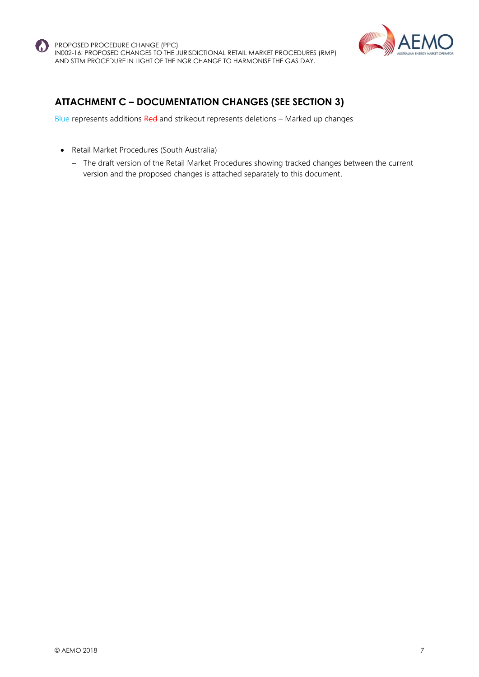



# **ATTACHMENT C – DOCUMENTATION CHANGES (SEE SECTION 3)**

Blue represents additions Red and strikeout represents deletions – Marked up changes

- Retail Market Procedures (South Australia)
	- The draft version of the Retail Market Procedures showing tracked changes between the current version and the proposed changes is attached separately to this document.